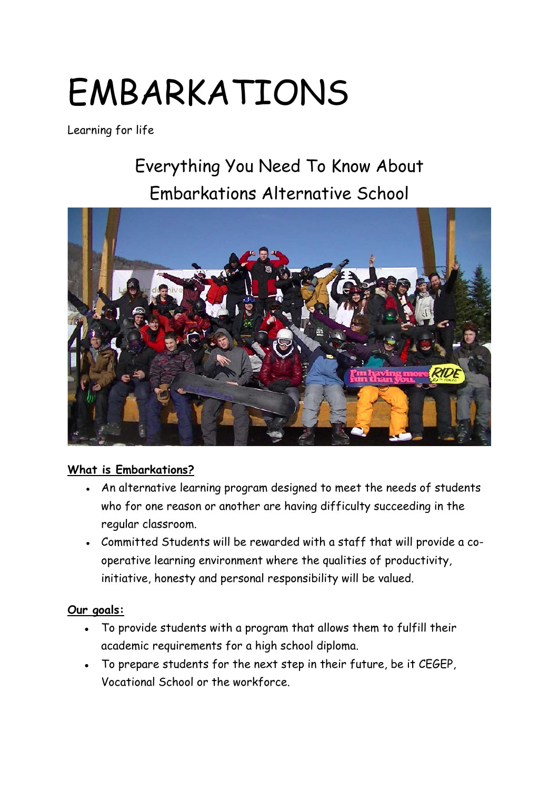# EMBARKATIONS

Learning for life

## Everything You Need To Know About Embarkations Alternative School



#### **What is Embarkations?**

- An alternative learning program designed to meet the needs of students who for one reason or another are having difficulty succeeding in the regular classroom.
- Committed Students will be rewarded with a staff that will provide a cooperative learning environment where the qualities of productivity, initiative, honesty and personal responsibility will be valued.

#### **Our goals:**

- To provide students with a program that allows them to fulfill their academic requirements for a high school diploma.
- To prepare students for the next step in their future, be it CEGEP, Vocational School or the workforce.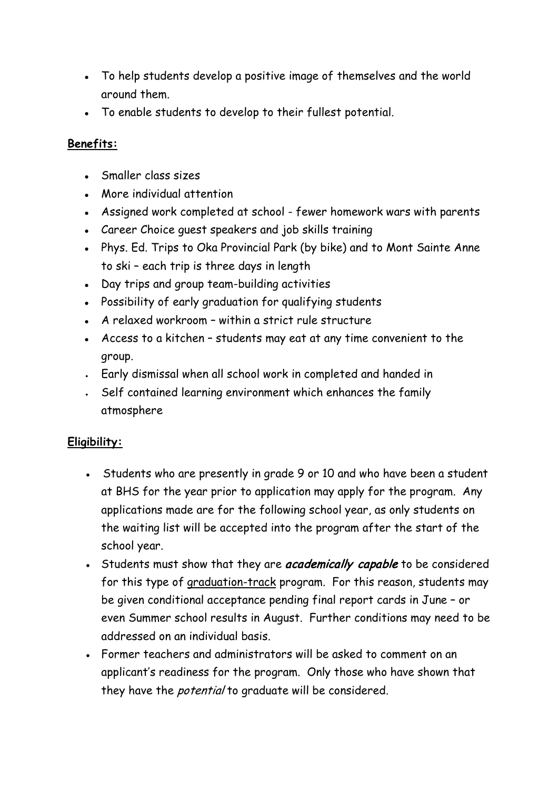- To help students develop a positive image of themselves and the world around them.
- To enable students to develop to their fullest potential.

#### **Benefits:**

- Smaller class sizes
- More individual attention
- Assigned work completed at school fewer homework wars with parents
- Career Choice quest speakers and job skills training
- Phys. Ed. Trips to Oka Provincial Park (by bike) and to Mont Sainte Anne to ski – each trip is three days in length
- Day trips and group team-building activities
- Possibility of early graduation for qualifying students
- $\bullet$  A relaxed workroom within a strict rule structure
- Access to a kitchen students may eat at any time convenient to the group.
- . Early dismissal when all school work in completed and handed in
- . Self contained learning environment which enhances the family atmosphere

### **Eligibility:**

- Students who are presently in grade 9 or 10 and who have been a student at BHS for the year prior to application may apply for the program. Any applications made are for the following school year, as only students on the waiting list will be accepted into the program after the start of the school year.
- Students must show that they are *academically capable* to be considered for this type of graduation-track program. For this reason, students may be given conditional acceptance pending final report cards in June – or even Summer school results in August. Further conditions may need to be addressed on an individual basis.
- Former teachers and administrators will be asked to comment on an applicant's readiness for the program. Only those who have shown that they have the *potential* to graduate will be considered.